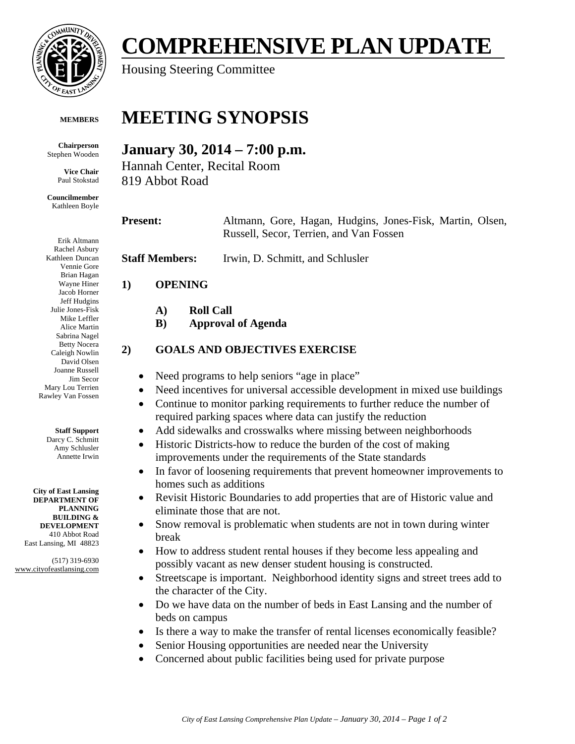

### **MEMBERS**

**Chairperson**  Stephen Wooden

> **Vice Chair**  Paul Stokstad

**Councilmember**  Kathleen Boyle

Erik Altmann Rachel Asbury Kathleen Duncan Vennie Gore Brian Hagan Wayne Hiner Jacob Horner Jeff Hudgins Julie Jones-Fisk Mike Leffler Alice Martin Sabrina Nagel Betty Nocera Caleigh Nowlin David Olsen Joanne Russell Jim Secor Mary Lou Terrien Rawley Van Fossen

#### **Staff Support**

Darcy C. Schmitt Amy Schlusler Annette Irwin

**City of East Lansing DEPARTMENT OF PLANNING BUILDING & DEVELOPMENT**  410 Abbot Road East Lansing, MI 48823

(517) 319-6930 www.cityofeastlansing.com

# **COMPREHENSIVE PLAN UPDATE**

Housing Steering Committee

## **MEETING SYNOPSIS**

## **January 30, 2014 – 7:00 p.m.**

Hannah Center, Recital Room 819 Abbot Road

**A) Roll Call** 

**B) Approval of Agenda** 

## **Present:** Altmann, Gore, Hagan, Hudgins, Jones-Fisk, Martin, Olsen,

**Staff Members:** Irwin, D. Schmitt, and Schlusler **1) OPENING 2) GOALS AND OBJECTIVES EXERCISE** 

- Need programs to help seniors "age in place"
- Need incentives for universal accessible development in mixed use buildings
- Continue to monitor parking requirements to further reduce the number of required parking spaces where data can justify the reduction

Russell, Secor, Terrien, and Van Fossen

- Add sidewalks and crosswalks where missing between neighborhoods
- Historic Districts-how to reduce the burden of the cost of making improvements under the requirements of the State standards
- In favor of loosening requirements that prevent homeowner improvements to homes such as additions
- Revisit Historic Boundaries to add properties that are of Historic value and eliminate those that are not.
- Snow removal is problematic when students are not in town during winter break
- How to address student rental houses if they become less appealing and possibly vacant as new denser student housing is constructed.
- Streetscape is important. Neighborhood identity signs and street trees add to the character of the City.
- Do we have data on the number of beds in East Lansing and the number of beds on campus
- Is there a way to make the transfer of rental licenses economically feasible?
- Senior Housing opportunities are needed near the University
- Concerned about public facilities being used for private purpose